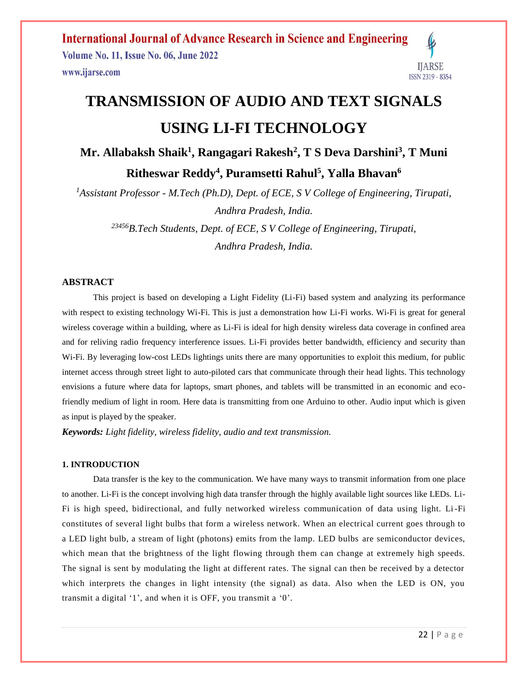**International Journal of Advance Research in Science and Engineering** Volume No. 11, Issue No. 06, June 2022 **IJARSE** www.ijarse.com ISSN 2319 - 8354

# **TRANSMISSION OF AUDIO AND TEXT SIGNALS USING LI-FI TECHNOLOGY**

**Mr. Allabaksh Shaik<sup>1</sup> , Rangagari Rakesh<sup>2</sup> , T S Deva Darshini<sup>3</sup> , T Muni Ritheswar Reddy<sup>4</sup> , Puramsetti Rahul 5 , Yalla Bhavan<sup>6</sup>**

*<sup>1</sup>Assistant Professor - M.Tech (Ph.D), Dept. of ECE, S V College of Engineering, Tirupati, Andhra Pradesh, India.*

*<sup>23456</sup>B.Tech Students, Dept. of ECE, S V College of Engineering, Tirupati, Andhra Pradesh, India.*

#### **ABSTRACT**

This project is based on developing a Light Fidelity (Li-Fi) based system and analyzing its performance with respect to existing technology Wi-Fi. This is just a demonstration how Li-Fi works. Wi-Fi is great for general wireless coverage within a building, where as Li-Fi is ideal for high density wireless data coverage in confined area and for reliving radio frequency interference issues. Li-Fi provides better bandwidth, efficiency and security than W<sub>i-Fi.</sub> By leveraging low-cost LEDs lightings units there are many opportunities to exploit this medium, for public internet access through street light to auto-piloted cars that communicate through their head lights. This technology envisions a future where data for laptops, smart phones, and tablets will be transmitted in an economic and ecofriendly medium of light in room. Here data is transmitting from one Arduino to other. Audio input which is given as input is played by the speaker.

*Keywords: Light fidelity, wireless fidelity, audio and text transmission.*

#### **1. INTRODUCTION**

Data transfer is the key to the communication. We have many ways to transmit information from one place to another. Li-Fi is the concept involving high data transfer through the highly available light sources like LEDs. Li-Fi is high speed, bidirectional, and fully networked wireless communication of data using light. Li-Fi constitutes of several light bulbs that form a wireless network. When an electrical current goes through to a LED light bulb, a stream of light (photons) emits from the lamp. LED bulbs are semiconductor devices, which mean that the brightness of the light flowing through them can change at extremely high speeds. The signal is sent by modulating the light at different rates. The signal can then be received by a detector which interprets the changes in light intensity (the signal) as data. Also when the LED is ON, you transmit a digital '1', and when it is OFF, you transmit a '0'.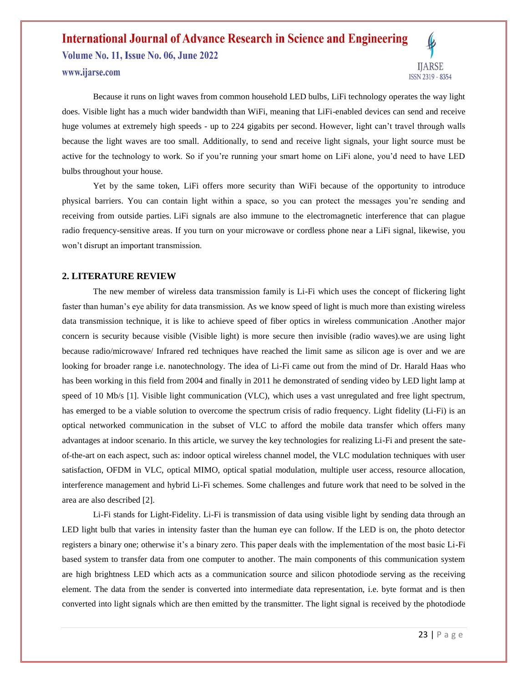Volume No. 11, Issue No. 06, June 2022 www.ijarse.com



Because it runs on light waves from common household LED bulbs, LiFi technology operates the way light does. Visible light has a much wider bandwidth than WiFi, meaning that LiFi-enabled devices can send and receive huge volumes at extremely high speeds - up to 224 gigabits per second. However, light can't travel through walls because the light waves are too small. Additionally, to send and receive light signals, your light source must be active for the technology to work. So if you're running your smart home on LiFi alone, you'd need to have LED bulbs throughout your house.

Yet by the same token, LiFi offers more security than WiFi because of the opportunity to introduce physical barriers. You can contain light within a space, so you can protect the messages you're sending and receiving from outside parties. LiFi signals are also immune to the electromagnetic interference that can plague radio frequency-sensitive areas. If you turn on your microwave or cordless phone near a LiFi signal, likewise, you won't disrupt an important transmission.

#### **2. LITERATURE REVIEW**

The new member of wireless data transmission family is Li-Fi which uses the concept of flickering light faster than human's eye ability for data transmission. As we know speed of light is much more than existing wireless data transmission technique, it is like to achieve speed of fiber optics in wireless communication .Another major concern is security because visible (Visible light) is more secure then invisible (radio waves).we are using light because radio/microwave/ Infrared red techniques have reached the limit same as silicon age is over and we are looking for broader range i.e. nanotechnology. The idea of Li-Fi came out from the mind of Dr. Harald Haas who has been working in this field from 2004 and finally in 2011 he demonstrated of sending video by LED light lamp at speed of 10 Mb/s [1]. Visible light communication (VLC), which uses a vast unregulated and free light spectrum, has emerged to be a viable solution to overcome the spectrum crisis of radio frequency. Light fidelity (Li-Fi) is an optical networked communication in the subset of VLC to afford the mobile data transfer which offers many advantages at indoor scenario. In this article, we survey the key technologies for realizing Li-Fi and present the sateof-the-art on each aspect, such as: indoor optical wireless channel model, the VLC modulation techniques with user satisfaction, OFDM in VLC, optical MIMO, optical spatial modulation, multiple user access, resource allocation, interference management and hybrid Li-Fi schemes. Some challenges and future work that need to be solved in the area are also described [2].

Li-Fi stands for Light-Fidelity. Li-Fi is transmission of data using visible light by sending data through an LED light bulb that varies in intensity faster than the human eye can follow. If the LED is on, the photo detector registers a binary one; otherwise it's a binary zero. This paper deals with the implementation of the most basic Li-Fi based system to transfer data from one computer to another. The main components of this communication system are high brightness LED which acts as a communication source and silicon photodiode serving as the receiving element. The data from the sender is converted into intermediate data representation, i.e. byte format and is then converted into light signals which are then emitted by the transmitter. The light signal is received by the photodiode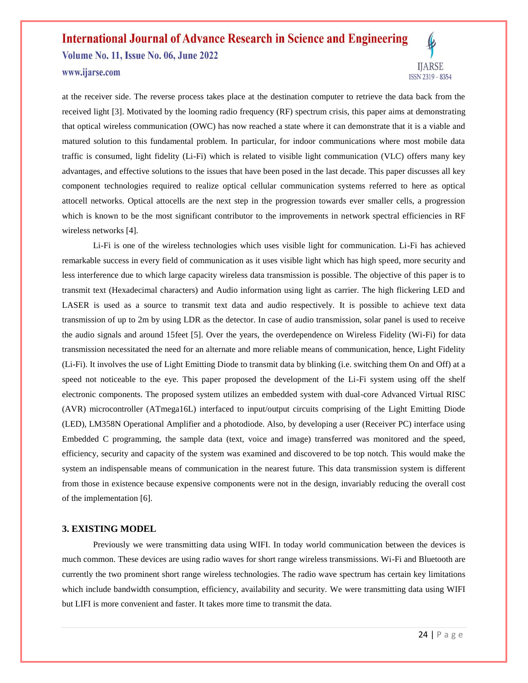Volume No. 11, Issue No. 06, June 2022 www.ijarse.com



at the receiver side. The reverse process takes place at the destination computer to retrieve the data back from the received light [3]. Motivated by the looming radio frequency (RF) spectrum crisis, this paper aims at demonstrating that optical wireless communication (OWC) has now reached a state where it can demonstrate that it is a viable and matured solution to this fundamental problem. In particular, for indoor communications where most mobile data traffic is consumed, light fidelity (Li-Fi) which is related to visible light communication (VLC) offers many key advantages, and effective solutions to the issues that have been posed in the last decade. This paper discusses all key component technologies required to realize optical cellular communication systems referred to here as optical attocell networks. Optical attocells are the next step in the progression towards ever smaller cells, a progression which is known to be the most significant contributor to the improvements in network spectral efficiencies in RF wireless networks [4].

Li-Fi is one of the wireless technologies which uses visible light for communication. Li-Fi has achieved remarkable success in every field of communication as it uses visible light which has high speed, more security and less interference due to which large capacity wireless data transmission is possible. The objective of this paper is to transmit text (Hexadecimal characters) and Audio information using light as carrier. The high flickering LED and LASER is used as a source to transmit text data and audio respectively. It is possible to achieve text data transmission of up to 2m by using LDR as the detector. In case of audio transmission, solar panel is used to receive the audio signals and around 15feet [5]. Over the years, the overdependence on Wireless Fidelity (Wi-Fi) for data transmission necessitated the need for an alternate and more reliable means of communication, hence, Light Fidelity (Li-Fi). It involves the use of Light Emitting Diode to transmit data by blinking (i.e. switching them On and Off) at a speed not noticeable to the eye. This paper proposed the development of the Li-Fi system using off the shelf electronic components. The proposed system utilizes an embedded system with dual-core Advanced Virtual RISC (AVR) microcontroller (ATmega16L) interfaced to input/output circuits comprising of the Light Emitting Diode (LED), LM358N Operational Amplifier and a photodiode. Also, by developing a user (Receiver PC) interface using Embedded C programming, the sample data (text, voice and image) transferred was monitored and the speed, efficiency, security and capacity of the system was examined and discovered to be top notch. This would make the system an indispensable means of communication in the nearest future. This data transmission system is different from those in existence because expensive components were not in the design, invariably reducing the overall cost of the implementation [6].

#### **3. EXISTING MODEL**

Previously we were transmitting data using WIFI. In today world communication between the devices is much common. These devices are using radio waves for short range wireless transmissions. Wi-Fi and Bluetooth are currently the two prominent short range wireless technologies. The radio wave spectrum has certain key limitations which include bandwidth consumption, efficiency, availability and security. We were transmitting data using WIFI but LIFI is more convenient and faster. It takes more time to transmit the data.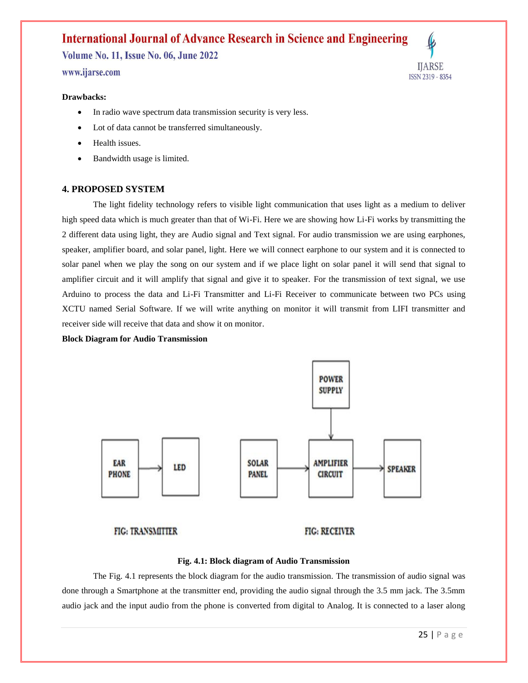Volume No. 11, Issue No. 06, June 2022 www.ijarse.com



#### **Drawbacks:**

- In radio wave spectrum data transmission security is very less.
- Lot of data cannot be transferred simultaneously.
- Health issues.
- Bandwidth usage is limited.

#### **4. PROPOSED SYSTEM**

The light fidelity technology refers to visible light communication that uses light as a medium to deliver high speed data which is much greater than that of Wi-Fi. Here we are showing how Li-Fi works by transmitting the 2 different data using light, they are Audio signal and Text signal. For audio transmission we are using earphones, speaker, amplifier board, and solar panel, light. Here we will connect earphone to our system and it is connected to solar panel when we play the song on our system and if we place light on solar panel it will send that signal to amplifier circuit and it will amplify that signal and give it to speaker. For the transmission of text signal, we use Arduino to process the data and Li-Fi Transmitter and Li-Fi Receiver to communicate between two PCs using XCTU named Serial Software. If we will write anything on monitor it will transmit from LIFI transmitter and receiver side will receive that data and show it on monitor.

**Block Diagram for Audio Transmission**



#### **Fig. 4.1: Block diagram of Audio Transmission**

The Fig. 4.1 represents the block diagram for the audio transmission. The transmission of audio signal was done through a Smartphone at the transmitter end, providing the audio signal through the 3.5 mm jack. The 3.5mm audio jack and the input audio from the phone is converted from digital to Analog. It is connected to a laser along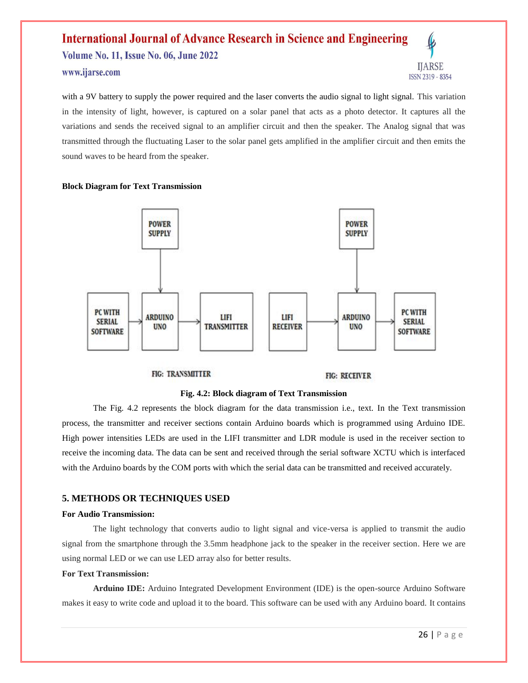## **International Journal of Advance Research in Science and Engineering** Volume No. 11, Issue No. 06, June 2022 www.ijarse.com



with a 9V battery to supply the power required and the laser converts the audio signal to light signal. This variation in the intensity of light, however, is captured on a solar panel that acts as a photo detector. It captures all the variations and sends the received signal to an amplifier circuit and then the speaker. The Analog signal that was transmitted through the fluctuating Laser to the solar panel gets amplified in the amplifier circuit and then emits the sound waves to be heard from the speaker.

#### **Block Diagram for Text Transmission**



#### **FIG: TRANSMITTER**

#### **FIG: RECEIVER**

#### **Fig. 4.2: Block diagram of Text Transmission**

The Fig. 4.2 represents the block diagram for the data transmission i.e., text. In the Text transmission process, the transmitter and receiver sections contain Arduino boards which is programmed using Arduino IDE. High power intensities LEDs are used in the LIFI transmitter and LDR module is used in the receiver section to receive the incoming data. The data can be sent and received through the serial software XCTU which is interfaced with the Arduino boards by the COM ports with which the serial data can be transmitted and received accurately.

#### **5. METHODS OR TECHNIQUES USED**

#### **For Audio Transmission:**

The light technology that converts audio to light signal and vice-versa is applied to transmit the audio signal from the smartphone through the 3.5mm headphone jack to the speaker in the receiver section. Here we are using normal LED or we can use LED array also for better results.

#### **For Text Transmission:**

**Arduino IDE:** Arduino Integrated Development Environment (IDE) is the open-source Arduino Software makes it easy to write code and upload it to the board. This software can be used with any Arduino board. It contains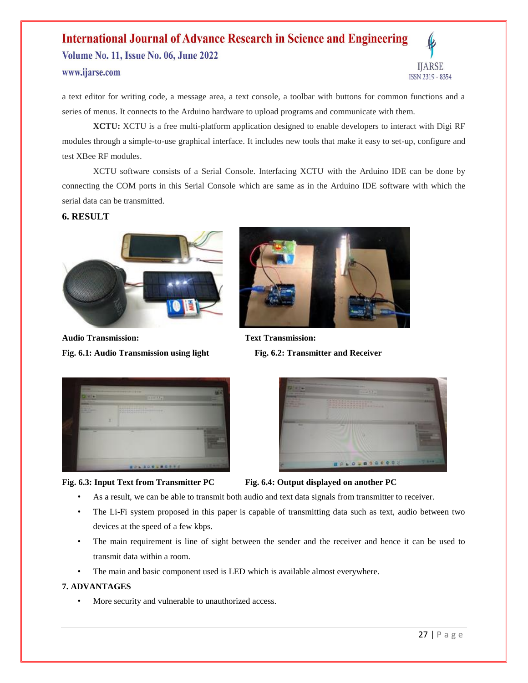Volume No. 11, Issue No. 06, June 2022 www.ijarse.com



a text editor for writing code, a message area, a text console, a toolbar with buttons for common functions and a series of menus. It connects to the Arduino hardware to upload programs and communicate with them.

**XCTU:** XCTU is a free multi-platform application designed to enable developers to interact with Digi RF modules through a simple-to-use graphical interface. It includes new tools that make it easy to set-up, configure and test XBee RF modules.

XCTU software consists of a Serial Console. Interfacing XCTU with the Arduino IDE can be done by connecting the COM ports in this Serial Console which are same as in the Arduino IDE software with which the serial data can be transmitted.

#### **6. RESULT**



**Audio Transmission: Text Transmission: Fig. 6.1: Audio Transmission using light Fig. 6.2: Transmitter and Receiver**





#### **Fig. 6.3: Input Text from Transmitter PC Fig. 6.4: Output displayed on another PC**



- As a result, we can be able to transmit both audio and text data signals from transmitter to receiver.
- The Li-Fi system proposed in this paper is capable of transmitting data such as text, audio between two devices at the speed of a few kbps.
- The main requirement is line of sight between the sender and the receiver and hence it can be used to transmit data within a room.
- The main and basic component used is LED which is available almost everywhere.

#### **7. ADVANTAGES**

More security and vulnerable to unauthorized access.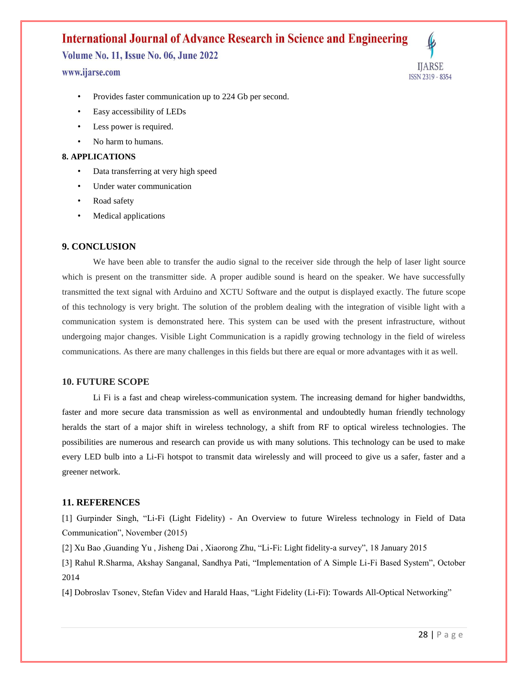Volume No. 11, Issue No. 06, June 2022

#### www.ijarse.com



- Provides faster communication up to 224 Gb per second.
- Easy accessibility of LEDs
- Less power is required.
- No harm to humans.

#### **8. APPLICATIONS**

- Data transferring at very high speed
- Under water communication
- Road safety
- Medical applications

#### **9. CONCLUSION**

We have been able to transfer the audio signal to the receiver side through the help of laser light source which is present on the transmitter side. A proper audible sound is heard on the speaker. We have successfully transmitted the text signal with Arduino and XCTU Software and the output is displayed exactly. The future scope of this technology is very bright. The solution of the problem dealing with the integration of visible light with a communication system is demonstrated here. This system can be used with the present infrastructure, without undergoing major changes. Visible Light Communication is a rapidly growing technology in the field of wireless communications. As there are many challenges in this fields but there are equal or more advantages with it as well.

#### **10. FUTURE SCOPE**

Li Fi is a fast and cheap wireless-communication system. The increasing demand for higher bandwidths, faster and more secure data transmission as well as environmental and undoubtedly human friendly technology heralds the start of a major shift in wireless technology, a shift from RF to optical wireless technologies. The possibilities are numerous and research can provide us with many solutions. This technology can be used to make every LED bulb into a Li-Fi hotspot to transmit data wirelessly and will proceed to give us a safer, faster and a greener network.

#### **11. REFERENCES**

[1] Gurpinder Singh, "Li-Fi (Light Fidelity) - An Overview to future Wireless technology in Field of Data Communication", November (2015)

[2] Xu Bao ,Guanding Yu , Jisheng Dai , Xiaorong Zhu, "Li-Fi: Light fidelity-a survey", 18 January 2015

[3] Rahul R.Sharma, Akshay Sanganal, Sandhya Pati, "Implementation of A Simple Li-Fi Based System", October 2014

[4] Dobroslav Tsonev, Stefan Videv and Harald Haas, "Light Fidelity (Li-Fi): Towards All-Optical Networking"